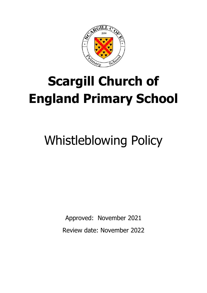

# **Scargill Church of England Primary School**

# Whistleblowing Policy

Approved: November 2021 Review date: November 2022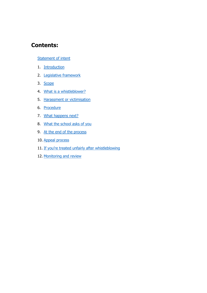# **Contents:**

#### [Statement of intent](#page-2-0)

- 1. [Introduction](#page-3-0)
- 2. [Legislative framework](#page-3-1)
- 3. [Scope](#page-3-2)
- 4. [What is a whistleblower?](#page-4-0)
- 5. [Harassment or victimisation](#page-5-0)
- 6. [Procedure](#page-5-1)
- 7. [What happens next?](#page-5-2)
- 8. [What the school asks of you](#page-6-0)
- 9. [At the end of the process](#page-6-1)
- 10. [Appeal process](#page-6-2)
- 11. [If you're treated unfairly after whistleblowing](#page-6-3)
- 12. [Monitoring and review](#page-7-0)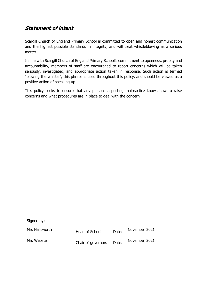#### <span id="page-2-0"></span>**Statement of intent**

Scargill Church of England Primary School is committed to open and honest communication and the highest possible standards in integrity, and will treat whistleblowing as a serious matter.

In line with Scargill Church of England Primary School's commitment to openness, probity and accountability, members of staff are encouraged to report concerns which will be taken seriously, investigated, and appropriate action taken in response. Such action is termed "blowing the whistle"; this phrase is used throughout this policy, and should be viewed as a positive action of speaking up.

This policy seeks to ensure that any person suspecting malpractice knows how to raise concerns and what procedures are in place to deal with the concern

Signed by:

| Mrs Hallsworth | Head of School     | Date: | November 2021 |
|----------------|--------------------|-------|---------------|
| Mrs Webster    | Chair of governors | Date: | November 2021 |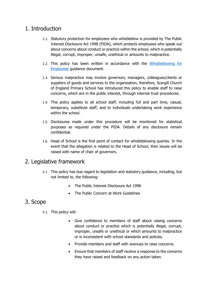#### <span id="page-3-0"></span>1. Introduction

- 1.1. Statutory protection for employees who whistleblow is provided by The Public Interest Disclosure Act 1998 (PIDA), which protects employees who speak out about concerns about conduct or practice within the school, which is potentially illegal, corrupt, improper, unsafe, unethical or amounts to malpractice.
- 1.2. This policy has been written in accordance with the [Whistleblowing for](https://www.gov.uk/whistleblowing)  [Employees](https://www.gov.uk/whistleblowing) guidance document.
- 1.3. Serious malpractice may involve governors, managers, colleagues/clients or suppliers of goods and services to the organisation, therefore, Scargill Church of England Primary School has introduced this policy to enable staff to raise concerns, which are in the public interest, through internal trust procedures.
- 1.4. This policy applies to all school staff, including full and part time, casual, temporary, substitute staff, and to individuals undertaking work experience within the school.
- 1.5. Disclosures made under this procedure will be monitored for statistical purposes as required under the PIDA. Details of any disclosure remain confidential.
- 1.6. Head of School is the first point of contact for whistleblowing queries. In the event that the allegation is related to the Head of School, then issues will be raised with name of chair of governors.

#### <span id="page-3-1"></span>2. Legislative framework

- 2.1. This policy has due regard to legislation and statutory guidance, including, but not limited to, the following:
	- The Public Interest Disclosure Act 1998
	- The Public Concern at Work Guidelines

# <span id="page-3-2"></span>3. Scope

- 3.1. This policy will:
	- Give confidence to members of staff about raising concerns about conduct or practice which is potentially illegal, corrupt, improper, unsafe or unethical or which amounts to malpractice or is inconsistent with school standards and policies.
	- Provide members and staff with avenues to raise concerns.
	- Ensure that members of staff receive a response to the concerns they have raised and feedback on any action taken.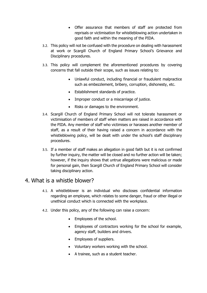- Offer assurance that members of staff are protected from reprisals or victimisation for whistleblowing action undertaken in good faith and within the meaning of the PIDA.
- 3.2. This policy will not be confused with the procedure on dealing with harassment at work or Scargill Church of England Primary School's Grievance and Disciplinary procedures.
- 3.3. This policy will complement the aforementioned procedures by covering concerns that fall outside their scope, such as issues relating to:
	- Unlawful conduct, including financial or fraudulent malpractice such as embezzlement, bribery, corruption, dishonesty, etc.
	- Establishment standards of practice.
	- Improper conduct or a miscarriage of justice.
	- Risks or damages to the environment.
- 3.4. Scargill Church of England Primary School will not tolerate harassment or victimisation of members of staff when matters are raised in accordance with the PIDA. Any member of staff who victimises or harasses another member of staff, as a result of their having raised a concern in accordance with the whistleblowing policy, will be dealt with under the school's staff disciplinary procedures.
- 3.5. If a member of staff makes an allegation in good faith but it is not confirmed by further inquiry, the matter will be closed and no further action will be taken; however, if the inquiry shows that untrue allegations were malicious or made for personal gain, then Scargill Church of England Primary School will consider taking disciplinary action.

#### <span id="page-4-0"></span>4. What is a whistle blower?

- 4.1. A whistleblower is an individual who discloses confidential information regarding an employee, which relates to some danger, fraud or other illegal or unethical conduct which is connected with the workplace.
- 4.2. Under this policy, any of the following can raise a concern:
	- Employees of the school.
	- Employees of contractors working for the school for example, agency staff, builders and drivers.
	- Employees of suppliers.
	- Voluntary workers working with the school.
	- A trainee, such as a student teacher.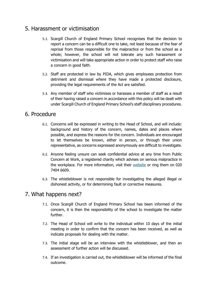### <span id="page-5-0"></span>5. Harassment or victimisation

- 5.1. Scargill Church of England Primary School recognises that the decision to report a concern can be a difficult one to take, not least because of the fear of reprisal from those responsible for the malpractice or from the school as a whole; however, the school will not tolerate any such harassment or victimisation and will take appropriate action in order to protect staff who raise a concern in good faith.
- 5.2. Staff are protected in law by PIDA, which gives employees protection from detriment and dismissal where they have made a protected disclosure, providing the legal requirements of the Act are satisfied.
- 5.3. Any member of staff who victimises or harasses a member of staff as a result of their having raised a concern in accordance with this policy will be dealt with under Scargill Church of England Primary School's staff disciplinary procedures.

#### <span id="page-5-1"></span>6. Procedure

- 6.1. Concerns will be expressed in writing to the Head of School, and will include: background and history of the concern, names, dates and places where possible, and express the reasons for the concern. Individuals are encouraged to let themselves be known, either in person, or through their union representative, as concerns expressed anonymously are difficult to investigate.
- 6.2. Anyone feeling unsure can seek confidential advice at any time from Public Concern at Work, a registered charity which advises on serious malpractice in the workplace. For more information, visit their [website](http://www.pcaw.co.uk/) or ring them on 020 7404 6609.
- 6.3. The whistleblower is not responsible for investigating the alleged illegal or dishonest activity, or for determining fault or corrective measures.

# <span id="page-5-2"></span>7. What happens next?

- 7.1. Once Scargill Church of England Primary School has been informed of the concern, it is then the responsibility of the school to investigate the matter further.
- 7.2. The Head of School will write to the individual within 10 days of the initial meeting in order to confirm that the concern has been received, as well as indicate proposals for dealing with the matter.
- 7.3. The initial stage will be an interview with the whistleblower, and then an assessment of further action will be discussed.
- 7.4. If an investigation is carried out, the whistleblower will be informed of the final outcome.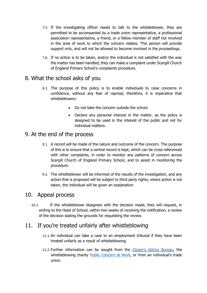- 7.5. If the investigating officer needs to talk to the whistleblower, they are permitted to be accompanied by a trade union representative, a professional association representative, a friend, or a fellow member of staff not involved in the area of work to which the concern relates. This person will provide support only, and will not be allowed to become involved in the proceedings.
- 7.6. If no action is to be taken, and/or the individual is not satisfied with the way the matter has been handled, they can make a complaint under Scargill Church of England Primary School's complaints procedure.

#### <span id="page-6-0"></span>8. What the school asks of you

- 8.1. The purpose of this policy is to enable individuals to raise concerns in confidence, without any fear of reprisal; therefore, it is imperative that whistleblowers:
	- Do not take the concern outside the school.
	- Declare any personal interest in the matter, as the policy is designed to be used in the interest of the public and not for individual matters.

#### <span id="page-6-1"></span>9. At the end of the process

- 9.1. A record will be made of the nature and outcome of the concern. The purpose of this is to ensure that a central record is kept, which can be cross-referenced with other complaints, in order to monitor any patterns of concern across Scargill Church of England Primary School, and to assist in monitoring the procedure.
- 9.2. The whistleblower will be informed of the results of the investigation, and any action that is proposed will be subject to third party rights; where action is not taken, the individual will be given an explanation.

# <span id="page-6-2"></span>10. Appeal process

10.1. If the whistleblower disagrees with the decision made, they will request, in writing to the Head of School, within two weeks of receiving the notification, a review of the decision stating the grounds for requesting the review.

# <span id="page-6-3"></span>11. If you're treated unfairly after whistleblowing

- 11.1. An individual can take a case to an employment tribunal if they have been treated unfairly as a result of whistleblowing.
- 11.2. Further information can be sought from the [Citizen's Advice Bureau](https://www.citizensadvice.org.uk/), the whistleblowing charity [Public Concern at Work,](http://www.pcaw.org.uk/) or from an individual's trade union.